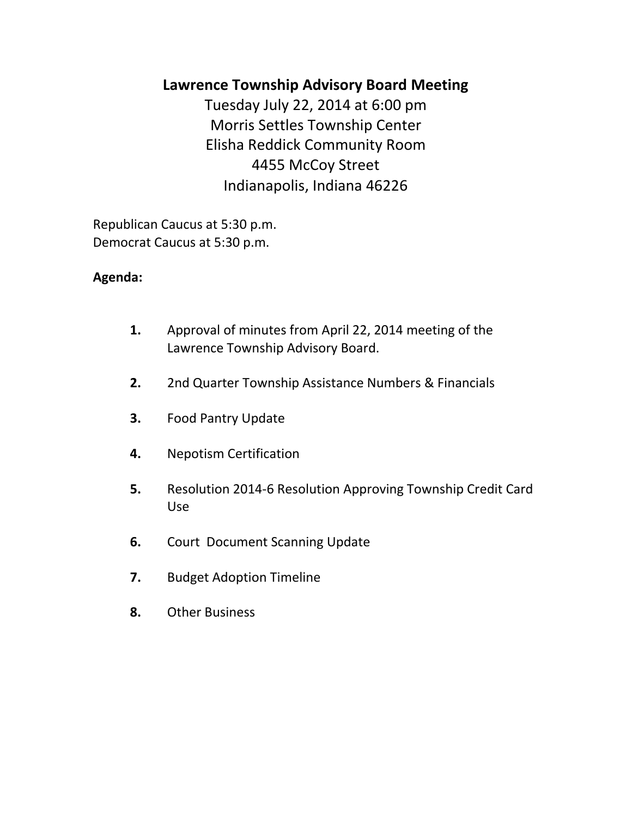# **Lawrence Township Advisory Board Meeting**

Tuesday July 22, 2014 at 6:00 pm Morris Settles Township Center Elisha Reddick Community Room 4455 McCoy Street Indianapolis, Indiana 46226

Republican Caucus at 5:30 p.m. Democrat Caucus at 5:30 p.m.

## **Agenda:**

- **1.** Approval of minutes from April 22, 2014 meeting of the Lawrence Township Advisory Board.
- **2.** 2nd Quarter Township Assistance Numbers & Financials
- **3.** Food Pantry Update
- **4.** Nepotism Certification
- **5.** Resolution 2014-6 Resolution Approving Township Credit Card Use
- **6.** Court Document Scanning Update
- **7.** Budget Adoption Timeline
- **8.** Other Business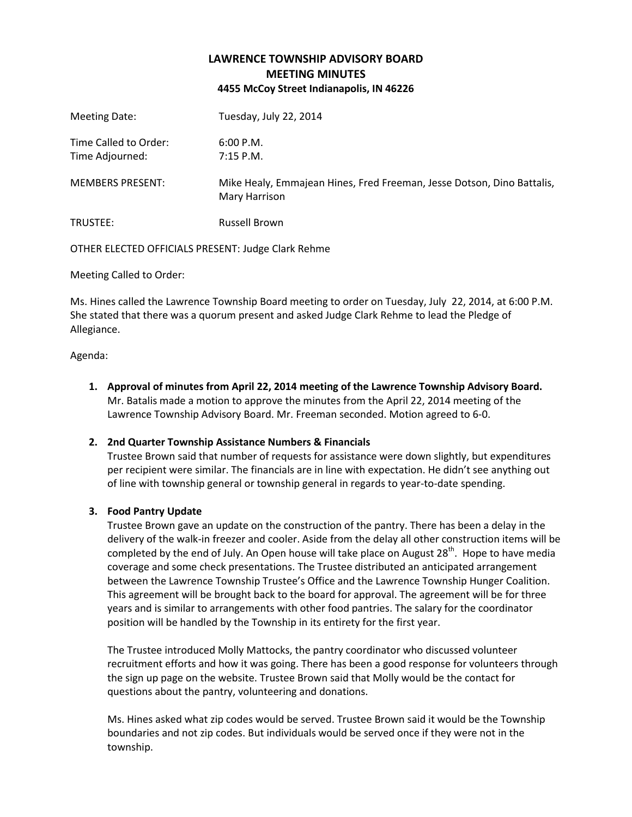## **LAWRENCE TOWNSHIP ADVISORY BOARD MEETING MINUTES 4455 McCoy Street Indianapolis, IN 46226**

| Meeting Date:                            | Tuesday, July 22, 2014                                                                  |
|------------------------------------------|-----------------------------------------------------------------------------------------|
| Time Called to Order:<br>Time Adjourned: | 6:00 P.M.<br>$7:15$ P.M.                                                                |
| <b>MEMBERS PRESENT:</b>                  | Mike Healy, Emmajean Hines, Fred Freeman, Jesse Dotson, Dino Battalis,<br>Mary Harrison |
| TRUSTEE:                                 | <b>Russell Brown</b>                                                                    |

OTHER ELECTED OFFICIALS PRESENT: Judge Clark Rehme

Meeting Called to Order:

Ms. Hines called the Lawrence Township Board meeting to order on Tuesday, July 22, 2014, at 6:00 P.M. She stated that there was a quorum present and asked Judge Clark Rehme to lead the Pledge of Allegiance.

Agenda:

**1. Approval of minutes from April 22, 2014 meeting of the Lawrence Township Advisory Board.** Mr. Batalis made a motion to approve the minutes from the April 22, 2014 meeting of the Lawrence Township Advisory Board. Mr. Freeman seconded. Motion agreed to 6-0.

## **2. 2nd Quarter Township Assistance Numbers & Financials**

Trustee Brown said that number of requests for assistance were down slightly, but expenditures per recipient were similar. The financials are in line with expectation. He didn't see anything out of line with township general or township general in regards to year-to-date spending.

## **3. Food Pantry Update**

Trustee Brown gave an update on the construction of the pantry. There has been a delay in the delivery of the walk-in freezer and cooler. Aside from the delay all other construction items will be completed by the end of July. An Open house will take place on August 28<sup>th</sup>. Hope to have media coverage and some check presentations. The Trustee distributed an anticipated arrangement between the Lawrence Township Trustee's Office and the Lawrence Township Hunger Coalition. This agreement will be brought back to the board for approval. The agreement will be for three years and is similar to arrangements with other food pantries. The salary for the coordinator position will be handled by the Township in its entirety for the first year.

The Trustee introduced Molly Mattocks, the pantry coordinator who discussed volunteer recruitment efforts and how it was going. There has been a good response for volunteers through the sign up page on the website. Trustee Brown said that Molly would be the contact for questions about the pantry, volunteering and donations.

Ms. Hines asked what zip codes would be served. Trustee Brown said it would be the Township boundaries and not zip codes. But individuals would be served once if they were not in the township.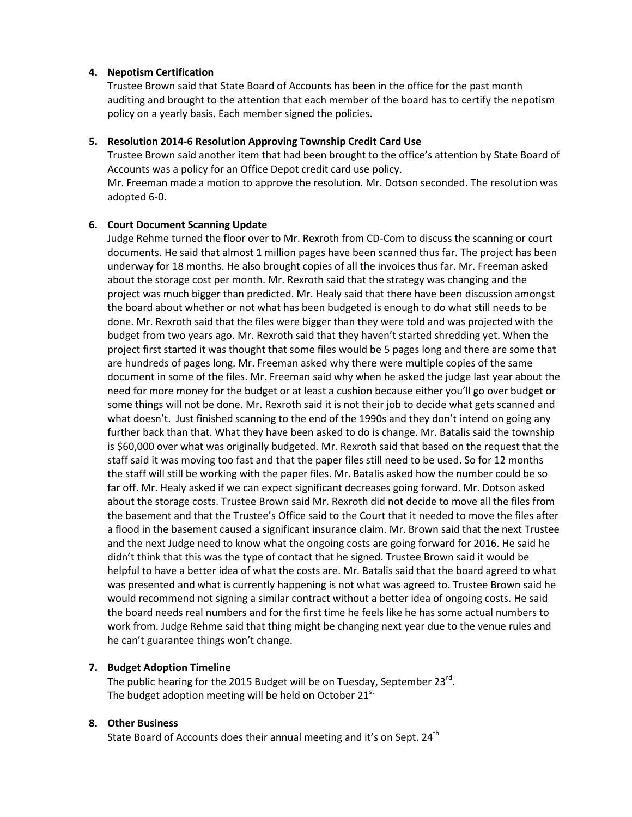#### **4. Nepotism Certification**

Trustee Brown said that State Board of Accounts has been in the office for the past month auditing and brought to the attention that each member of the board has to certify the nepotism policy on a yearly basis. Each member signed the policies.

#### **5. Resolution 2014-6 Resolution Approving Township Credit Card Use**

Trustee Brown said another item that had been brought to the office's attention by State Board of Accounts was a policy for an Office Depot credit card use policy. Mr. Freeman made a motion to approve the resolution. Mr. Dotson seconded. The resolution was

adopted 6-0.

#### **6. Court Document Scanning Update**

Judge Rehme turned the floor over to Mr. Rexroth from CD-Com to discuss the scanning or court documents. He said that almost 1 million pages have been scanned thus far. The project has been underway for 18 months. He also brought copies of all the invoices thus far. Mr. Freeman asked about the storage cost per month. Mr. Rexroth said that the strategy was changing and the project was much bigger than predicted. Mr. Healy said that there have been discussion amongst the board about whether or not what has been budgeted is enough to do what still needs to be done. Mr. Rexroth said that the files were bigger than they were told and was projected with the budget from two years ago. Mr. Rexroth said that they haven't started shredding yet. When the project first started it was thought that some files would be 5 pages long and there are some that are hundreds of pages long. Mr. Freeman asked why there were multiple copies of the same document in some of the files. Mr. Freeman said why when he asked the judge last year about the need for more money for the budget or at least a cushion because either you'll go over budget or some things will not be done. Mr. Rexroth said it is not their job to decide what gets scanned and what doesn't. Just finished scanning to the end of the 1990s and they don't intend on going any further back than that. What they have been asked to do is change. Mr. Batalis said the township is \$60,000 over what was originally budgeted. Mr. Rexroth said that based on the request that the staff said it was moving too fast and that the paper files still need to be used. So for 12 months the staff will still be working with the paper files. Mr. Batalis asked how the number could be so far off. Mr. Healy asked if we can expect significant decreases going forward. Mr. Dotson asked about the storage costs. Trustee Brown said Mr. Rexroth did not decide to move all the files from the basement and that the Trustee's Office said to the Court that it needed to move the files after a flood in the basement caused a significant insurance claim. Mr. Brown said that the next Trustee and the next Judge need to know what the ongoing costs are going forward for 2016. He said he didn't think that this was the type of contact that he signed. Trustee Brown said it would be helpful to have a better idea of what the costs are. Mr. Batalis said that the board agreed to what was presented and what is currently happening is not what was agreed to. Trustee Brown said he would recommend not signing a similar contract without a better idea of ongoing costs. He said the board needs real numbers and for the first time he feels like he has some actual numbers to work from. Judge Rehme said that thing might be changing next year due to the venue rules and he can't guarantee things won't change.

#### **7. Budget Adoption Timeline**

The public hearing for the 2015 Budget will be on Tuesday, September 23 $^{\text{rd}}$ . The budget adoption meeting will be held on October  $21<sup>st</sup>$ 

#### **8. Other Business**

State Board of Accounts does their annual meeting and it's on Sept. 24<sup>th</sup>